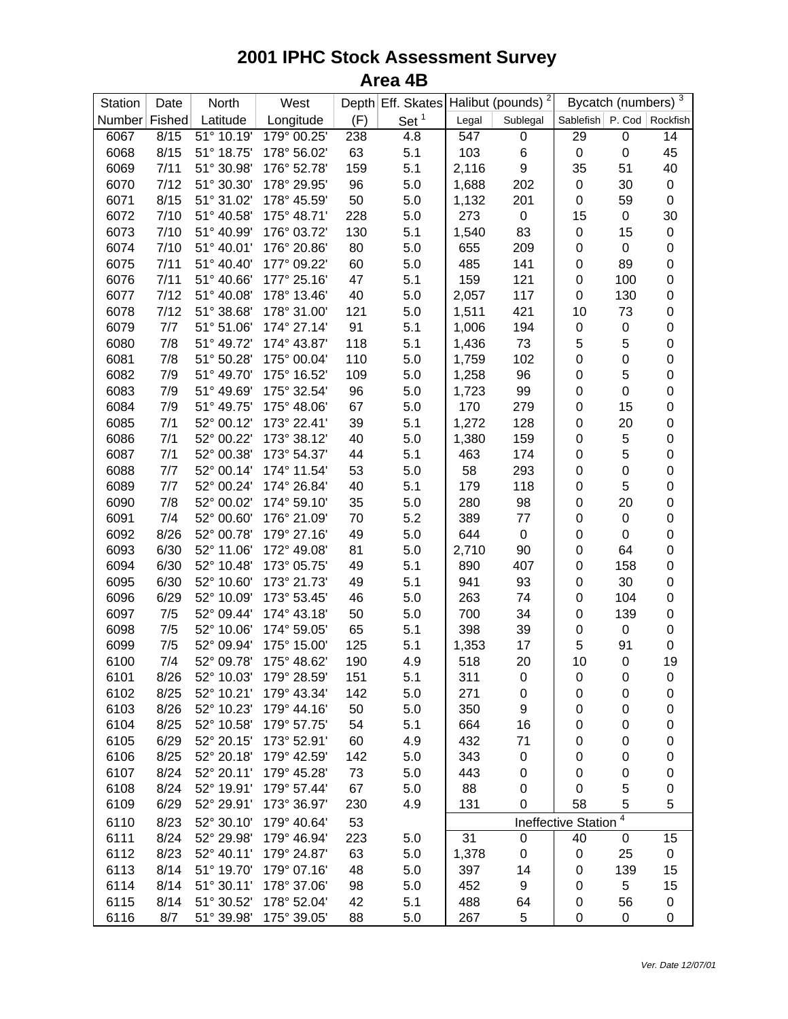## **2001 IPHC Stock Assessment Survey Area 4B**

| Station       | Date | North      | West        |     | Depth Eff. Skates |       | $\overline{\phantom{a}}$<br>Halibut (pounds) |                               | Bycatch (numbers) | 3           |
|---------------|------|------------|-------------|-----|-------------------|-------|----------------------------------------------|-------------------------------|-------------------|-------------|
| Number Fished |      | Latitude   | Longitude   | (F) | Set $1$           | Legal | Sublegal                                     | Sablefish   P. Cod   Rockfish |                   |             |
| 6067          | 8/15 | 51° 10.19' | 179° 00.25' | 238 | 4.8               | 547   | 0                                            | 29                            | 0                 | 14          |
| 6068          | 8/15 | 51° 18.75' | 178° 56.02' | 63  | 5.1               | 103   | $\,6$                                        | $\pmb{0}$                     | $\mathbf 0$       | 45          |
| 6069          | 7/11 | 51° 30.98' | 176° 52.78' | 159 | 5.1               | 2,116 | $\boldsymbol{9}$                             | 35                            | 51                | 40          |
| 6070          | 7/12 | 51° 30.30' | 178° 29.95' | 96  | 5.0               | 1,688 | 202                                          | 0                             | 30                | 0           |
| 6071          | 8/15 | 51° 31.02' | 178° 45.59' | 50  | 5.0               | 1,132 | 201                                          | $\pmb{0}$                     | 59                | $\pmb{0}$   |
| 6072          | 7/10 | 51° 40.58' | 175° 48.71' | 228 | 5.0               | 273   | $\pmb{0}$                                    | 15                            | $\pmb{0}$         | 30          |
| 6073          | 7/10 | 51° 40.99' | 176° 03.72' | 130 | 5.1               | 1,540 | 83                                           | $\pmb{0}$                     | 15                | $\pmb{0}$   |
| 6074          | 7/10 | 51° 40.01' | 176° 20.86' | 80  | 5.0               | 655   | 209                                          | $\pmb{0}$                     | $\pmb{0}$         | $\pmb{0}$   |
| 6075          | 7/11 | 51° 40.40' | 177° 09.22' | 60  | 5.0               | 485   | 141                                          | $\boldsymbol{0}$              | 89                | 0           |
| 6076          | 7/11 | 51° 40.66' | 177° 25.16' | 47  | 5.1               | 159   | 121                                          | $\boldsymbol{0}$              | 100               | 0           |
| 6077          | 7/12 | 51° 40.08' | 178° 13.46' | 40  | 5.0               | 2,057 | 117                                          | $\boldsymbol{0}$              | 130               | $\pmb{0}$   |
| 6078          | 7/12 | 51° 38.68' | 178° 31.00' | 121 | 5.0               | 1,511 | 421                                          | 10                            | 73                | 0           |
| 6079          | 7/7  | 51° 51.06' | 174° 27.14' | 91  | 5.1               | 1,006 | 194                                          | $\pmb{0}$                     | $\pmb{0}$         | 0           |
| 6080          | 7/8  | 51° 49.72' | 174° 43.87' | 118 | 5.1               | 1,436 | 73                                           | 5                             | 5                 | $\mathbf 0$ |
| 6081          | 7/8  | 51° 50.28' | 175° 00.04' | 110 | 5.0               | 1,759 | 102                                          | $\boldsymbol{0}$              | $\boldsymbol{0}$  | 0           |
| 6082          | 7/9  | 51° 49.70' | 175° 16.52' | 109 | 5.0               | 1,258 | 96                                           | $\boldsymbol{0}$              | 5                 | 0           |
| 6083          | 7/9  | 51° 49.69' | 175° 32.54' | 96  | 5.0               | 1,723 | 99                                           | $\boldsymbol{0}$              | $\boldsymbol{0}$  | 0           |
| 6084          | 7/9  | 51° 49.75' | 175° 48.06' | 67  | 5.0               | 170   | 279                                          | $\boldsymbol{0}$              | 15                | 0           |
| 6085          | 7/1  | 52° 00.12' | 173° 22.41' | 39  | 5.1               | 1,272 | 128                                          | $\boldsymbol{0}$              | 20                | 0           |
| 6086          | 7/1  | 52° 00.22' | 173° 38.12' | 40  | 5.0               | 1,380 | 159                                          | $\pmb{0}$                     | 5                 | 0           |
| 6087          | 7/1  | 52° 00.38' | 173° 54.37' | 44  | 5.1               | 463   | 174                                          | $\boldsymbol{0}$              | 5                 | 0           |
| 6088          | 7/7  | 52° 00.14' | 174° 11.54' | 53  | 5.0               | 58    | 293                                          | $\boldsymbol{0}$              | $\mathbf 0$       | 0           |
| 6089          | 7/7  | 52° 00.24' | 174° 26.84' | 40  | 5.1               | 179   | 118                                          | $\pmb{0}$                     | 5                 | 0           |
| 6090          | 7/8  | 52° 00.02' | 174° 59.10' | 35  | 5.0               | 280   | 98                                           | $\,0\,$                       | 20                | 0           |
| 6091          | 7/4  | 52° 00.60' | 176° 21.09' | 70  | 5.2               | 389   | 77                                           | $\pmb{0}$                     | $\pmb{0}$         | 0           |
| 6092          | 8/26 | 52° 00.78' | 179° 27.16' | 49  | 5.0               | 644   | $\pmb{0}$                                    | $\boldsymbol{0}$              | $\pmb{0}$         | 0           |
| 6093          | 6/30 | 52° 11.06' | 172° 49.08' | 81  | 5.0               | 2,710 | 90                                           | $\mathbf 0$                   | 64                | 0           |
| 6094          | 6/30 | 52° 10.48' | 173° 05.75' | 49  | 5.1               | 890   | 407                                          | $\mathbf 0$                   | 158               | $\pmb{0}$   |
| 6095          | 6/30 | 52° 10.60' | 173° 21.73' | 49  | 5.1               | 941   | 93                                           | $\mathbf 0$                   | 30                | 0           |
| 6096          | 6/29 | 52° 10.09' | 173° 53.45' | 46  | 5.0               | 263   | 74                                           | $\boldsymbol{0}$              | 104               | 0           |
| 6097          | 7/5  | 52° 09.44' | 174° 43.18' | 50  | 5.0               | 700   | 34                                           | $\boldsymbol{0}$              | 139               | $\pmb{0}$   |
| 6098          | 7/5  | 52° 10.06' | 174° 59.05' | 65  | 5.1               | 398   | 39                                           | $\boldsymbol{0}$              | 0                 | 0           |
| 6099          | 7/5  | 52° 09.94' | 175° 15.00' | 125 | 5.1               | 1,353 | 17                                           | 5                             | 91                | 0           |
| 6100          | 7/4  | 52° 09.78' | 175° 48.62' | 190 | 4.9               | 518   | 20                                           | 10                            | $\boldsymbol{0}$  | 19          |
| 6101          | 8/26 | 52° 10.03' | 179° 28.59' | 151 | 5.1               | 311   | 0                                            | 0                             | $\boldsymbol{0}$  | 0           |
| 6102          | 8/25 | 52° 10.21' | 179° 43.34' | 142 | 5.0               | 271   | 0                                            | $\mathbf 0$                   | 0                 | 0           |
| 6103          | 8/26 | 52° 10.23' | 179° 44.16' | 50  | 5.0               | 350   | 9                                            | $\mathbf 0$                   | $\mathbf 0$       | 0           |
| 6104          | 8/25 | 52° 10.58' | 179° 57.75' | 54  | 5.1               | 664   | 16                                           | 0                             | $\boldsymbol{0}$  | 0           |
| 6105          | 6/29 | 52° 20.15' | 173° 52.91' | 60  | 4.9               | 432   | 71                                           | 0                             | $\boldsymbol{0}$  | 0           |
| 6106          | 8/25 | 52° 20.18' | 179° 42.59' | 142 | 5.0               | 343   | $\pmb{0}$                                    | $\pmb{0}$                     | $\boldsymbol{0}$  | 0           |
| 6107          | 8/24 | 52° 20.11' | 179° 45.28' | 73  | 5.0               | 443   | $\pmb{0}$                                    | $\pmb{0}$                     | $\mathbf 0$       | 0           |
| 6108          | 8/24 | 52° 19.91' | 179° 57.44' | 67  | 5.0               | 88    | 0                                            | $\boldsymbol{0}$              | 5                 | 0           |
| 6109          | 6/29 | 52° 29.91' | 173° 36.97' | 230 | 4.9               | 131   | 0                                            | 58                            | 5                 | 5           |
|               |      |            |             |     |                   |       |                                              |                               | 4                 |             |
| 6110          | 8/23 | 52° 30.10' | 179° 40.64' | 53  |                   |       |                                              | <b>Ineffective Station</b>    |                   |             |
| 6111          | 8/24 | 52° 29.98' | 179° 46.94' | 223 | 5.0               | 31    | $\mathbf 0$                                  | 40                            | $\pmb{0}$         | 15          |
| 6112          | 8/23 | 52° 40.11' | 179° 24.87' | 63  | 5.0               | 1,378 | $\pmb{0}$                                    | 0                             | 25                | 0           |
| 6113          | 8/14 | 51° 19.70' | 179° 07.16' | 48  | 5.0               | 397   | 14                                           | $\mathbf 0$                   | 139               | 15          |
| 6114          | 8/14 | 51° 30.11' | 178° 37.06' | 98  | 5.0               | 452   | 9                                            | $\mathbf 0$                   | 5                 | 15          |
| 6115          | 8/14 | 51° 30.52' | 178° 52.04' | 42  | 5.1               | 488   | 64                                           | 0                             | 56                | 0           |
| 6116          | 8/7  | 51° 39.98' | 175° 39.05' | 88  | 5.0               | 267   | 5                                            | 0                             | 0                 | 0           |